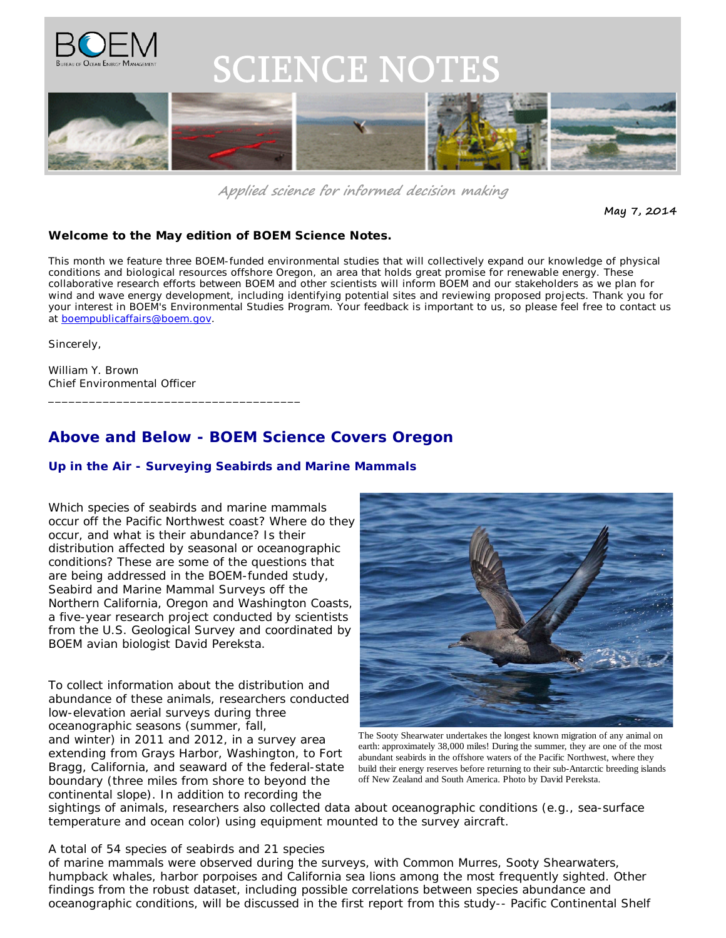

# **SCIENCE NOTES**



**Applied science for informed decision making**

**May 7, 2014**

#### **Welcome to the May edition of** *BOEM Science Notes.*

This month we feature three BOEM-funded environmental studies that will collectively expand our knowledge of physical conditions and biological resources offshore Oregon, an area that holds great promise for renewable energy. These collaborative research efforts between BOEM and other scientists will inform BOEM and our stakeholders as we plan for wind and wave energy development, including identifying potential sites and reviewing proposed projects. Thank you for your interest in BOEM's Environmental Studies Program. Your feedback is important to us, so please feel free to contact us at boempublicaffairs@boem.gov.

Sincerely,

William Y. Brown Chief Environmental Officer

\_\_\_\_\_\_\_\_\_\_\_\_\_\_\_\_\_\_\_\_\_\_\_\_\_\_\_\_\_\_\_\_\_\_\_\_\_

## **Above and Below - BOEM Science Covers Oregon**

#### *Up in the Air - Surveying Seabirds and Marine Mammals*

Which species of seabirds and marine mammals occur off the Pacific Northwest coast? Where do they occur, and what is their abundance? Is their distribution affected by seasonal or oceanographic conditions? These are some of the questions that are being addressed in the BOEM-funded study, *Seabird and Marine Mammal Surveys off the Northern California, Oregon and Washington Coasts*, a five-year research project conducted by scientists from the U.S. Geological Survey and coordinated by BOEM avian biologist David Pereksta.

To collect information about the distribution and abundance of these animals, researchers conducted low-elevation aerial surveys during three oceanographic seasons (summer, fall, and winter) in 2011 and 2012, in a survey area extending from Grays Harbor, Washington, to Fort Bragg, California, and seaward of the federal-state boundary (three miles from shore to beyond the continental slope). In addition to recording the



The Sooty Shearwater undertakes the longest known migration of any animal on earth: approximately 38,000 miles! During the summer, they are one of the most abundant seabirds in the offshore waters of the Pacific Northwest, where they build their energy reserves before returning to their sub-Antarctic breeding islands off New Zealand and South America. Photo by David Pereksta.

sightings of animals, researchers also collected data about oceanographic conditions (e.g., sea-surface temperature and ocean color) using equipment mounted to the survey aircraft.

A total of 54 species of seabirds and 21 species of marine mammals were observed during the surveys, with Common Murres, Sooty Shearwaters, humpback whales, harbor porpoises and California sea lions among the most frequently sighted. Other findings from the robust dataset, including possible correlations between species abundance and oceanographic conditions, will be discussed in the first report from this study-- *Pacific Continental Shelf*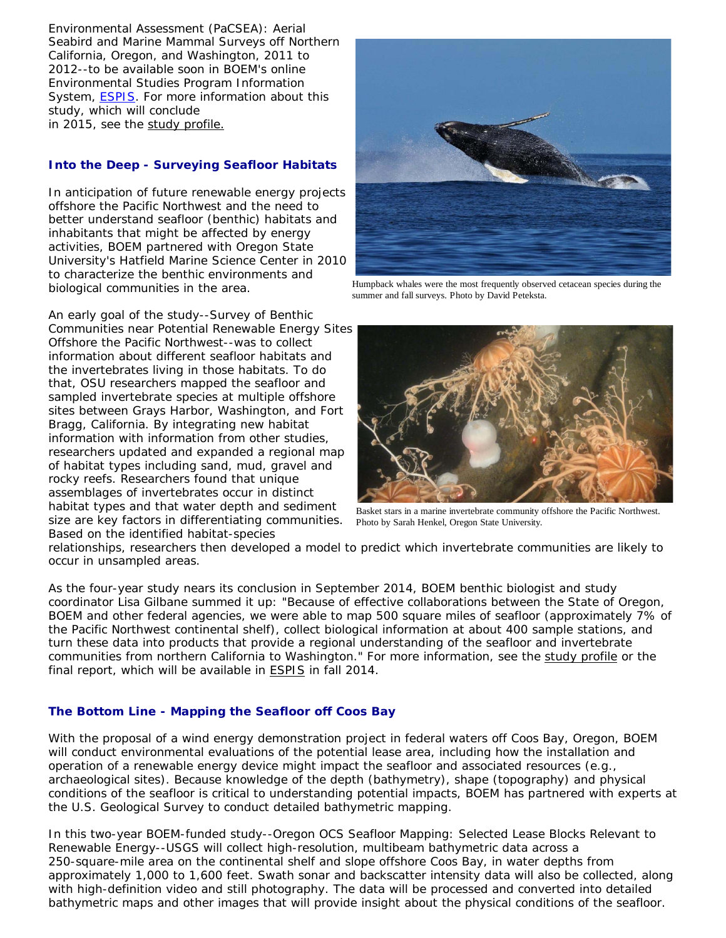*Environmental Assessment (PaCSEA): Aerial Seabird and Marine Mammal Surveys off Northern California, Oregon, and Washington, 2011 to 2012*--to be available soon in BOEM's online Environmental Studies Program Information System, ESPIS. For more information about this study, which will conclude in 2015, see the study profile.

### *Into the Deep - Surveying Seafloor Habitats*

In anticipation of future renewable energy projects offshore the Pacific Northwest and the need to better understand seafloor (benthic) habitats and inhabitants that might be affected by energy activities, BOEM partnered with Oregon State University's Hatfield Marine Science Center in 2010 to characterize the benthic environments and biological communities in the area.

size are key factors in differentiating communities. Photo by Sarah Henkel, Oregon State University. An early goal of the study--*Survey of Benthic Communities near Potential Renewable Energy Sites Offshore the Pacific Northwest*--was to collect information about different seafloor habitats and the invertebrates living in those habitats. To do that, OSU researchers mapped the seafloor and sampled invertebrate species at multiple offshore sites between Grays Harbor, Washington, and Fort Bragg, California. By integrating new habitat information with information from other studies, researchers updated and expanded a regional map of habitat types including sand, mud, gravel and rocky reefs. Researchers found that unique assemblages of invertebrates occur in distinct habitat types and that water depth and sediment Based on the identified habitat-species



Humpback whales were the most frequently observed cetacean species during the summer and fall surveys. Photo by David Peteksta.



Basket stars in a marine invertebrate community offshore the Pacific Northwest.

relationships, researchers then developed a model to predict which invertebrate communities are likely to occur in unsampled areas.

As the four-year study nears its conclusion in September 2014, BOEM benthic biologist and study coordinator Lisa Gilbane summed it up: "Because of effective collaborations between the State of Oregon, BOEM and other federal agencies, we were able to map 500 square miles of seafloor (approximately 7% of the Pacific Northwest continental shelf), collect biological information at about 400 sample stations, and turn these data into products that provide a regional understanding of the seafloor and invertebrate communities from northern California to Washington." For more information, see the study profile or the final report, which will be available in ESPIS in fall 2014.

#### *The Bottom Line - Mapping the Seafloor off Coos Bay*

With the proposal of a wind energy demonstration project in federal waters off Coos Bay, Oregon, BOEM will conduct environmental evaluations of the potential lease area, including how the installation and operation of a renewable energy device might impact the seafloor and associated resources (e.g., archaeological sites). Because knowledge of the depth (bathymetry), shape (topography) and physical conditions of the seafloor is critical to understanding potential impacts, BOEM has partnered with experts at the U.S. Geological Survey to conduct detailed bathymetric mapping.

In this two-year BOEM-funded study--*Oregon OCS Seafloor Mapping: Selected Lease Blocks Relevant to Renewable Energy*--USGS will collect high-resolution, multibeam bathymetric data across a 250-square-mile area on the continental shelf and slope offshore Coos Bay, in water depths from approximately 1,000 to 1,600 feet. Swath sonar and backscatter intensity data will also be collected, along with high-definition video and still photography. The data will be processed and converted into detailed bathymetric maps and other images that will provide insight about the physical conditions of the seafloor.